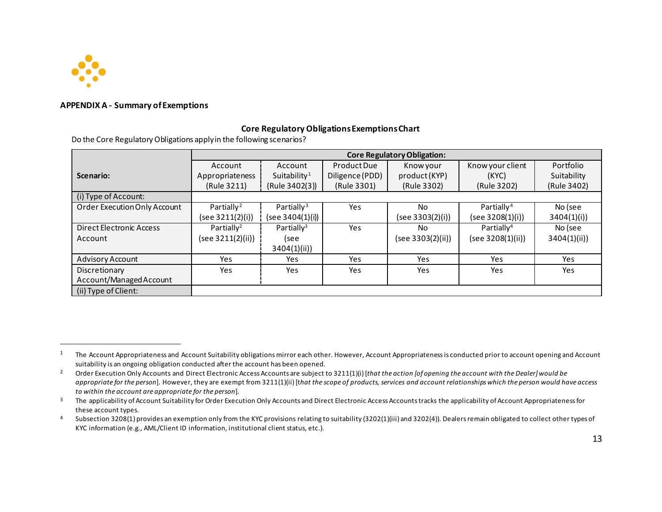

## **APPENDIX A - Summary of Exemptions**

## <span id="page-0-3"></span><span id="page-0-2"></span><span id="page-0-1"></span><span id="page-0-0"></span>**Core Regulatory Obligations Exemptions Chart**

Do the Core Regulatory Obligations apply in the following scenarios?

|                                 | <b>Core Regulatory Obligation:</b> |                          |                 |                   |                        |             |  |  |
|---------------------------------|------------------------------------|--------------------------|-----------------|-------------------|------------------------|-------------|--|--|
|                                 | Account                            | Account                  | Product Due     | Know your         | Know your client       | Portfolio   |  |  |
| Scenario:                       | Appropriateness                    | Suitability <sup>1</sup> | Diligence (PDD) | product (KYP)     | (KYC)                  | Suitability |  |  |
|                                 | (Rule 3211)                        | (Rule 3402(3))           | (Rule 3301)     | (Rule 3302)       | (Rule 3202)            | (Rule 3402) |  |  |
| (i) Type of Account:            |                                    |                          |                 |                   |                        |             |  |  |
| Order Execution Only Account    | Partially <sup>2</sup>             | Partially <sup>3</sup>   | Yes             | No                | Partially <sup>4</sup> | No (see     |  |  |
|                                 | (see 3211(2)(i))                   | (see 3404(1)(i))         |                 | (see 3303(2)(i))  | (see 3208(1)(i))       | 3404(1)(i)  |  |  |
| <b>Direct Electronic Access</b> | Partially <sup>2</sup>             | Partially <sup>3</sup>   | Yes             | No                | Partially <sup>4</sup> | No (see     |  |  |
| Account                         | (see 3211(2)(ii))                  | (see                     |                 | (see 3303(2)(ii)) | (see 3208(1)(ii))      | 3404(1)(ii) |  |  |
|                                 |                                    | 3404(1)(ii)              |                 |                   |                        |             |  |  |
| <b>Advisory Account</b>         | Yes                                | Yes.                     | Yes             | Yes               | Yes                    | Yes.        |  |  |
| Discretionary                   | Yes                                | <b>Yes</b>               | Yes             | <b>Yes</b>        | Yes                    | Yes         |  |  |
| Account/Managed Account         |                                    |                          |                 |                   |                        |             |  |  |
| (ii) Type of Client:            |                                    |                          |                 |                   |                        |             |  |  |

<sup>1</sup> The Account Appropriateness and Account Suitability obligations mirror each other. However, Account Appropriateness is conducted prior to account opening and Account suitability is an ongoing obligation conducted after the account has been opened.<br><sup>2</sup> Order Execution Only Accounts and Direct Electronic Access Accounts are subject to 3211(1)(i) [*that the action [of opening the account* 

*appropriate for the person*]. However, they are exempt from 3211(1)(ii) [t*hat the scope of products, services and account relationships which the person would have access*  to within the account are appropriate for the person].<br>The applicability of Account Suitability for Order Execution Only Accounts and Direct Electronic Access Accounts tracks the applicability of Account Appropriateness fo

these account types.<br>4 Subsection 3208(1) provides an exemption only from the KYC provisions relating to suitability (3202(1)(iii) and 3202(4)). Dealers remain obligated to collect other types of

KYC information (e.g., AML/Client ID information, institutional client status, etc.).